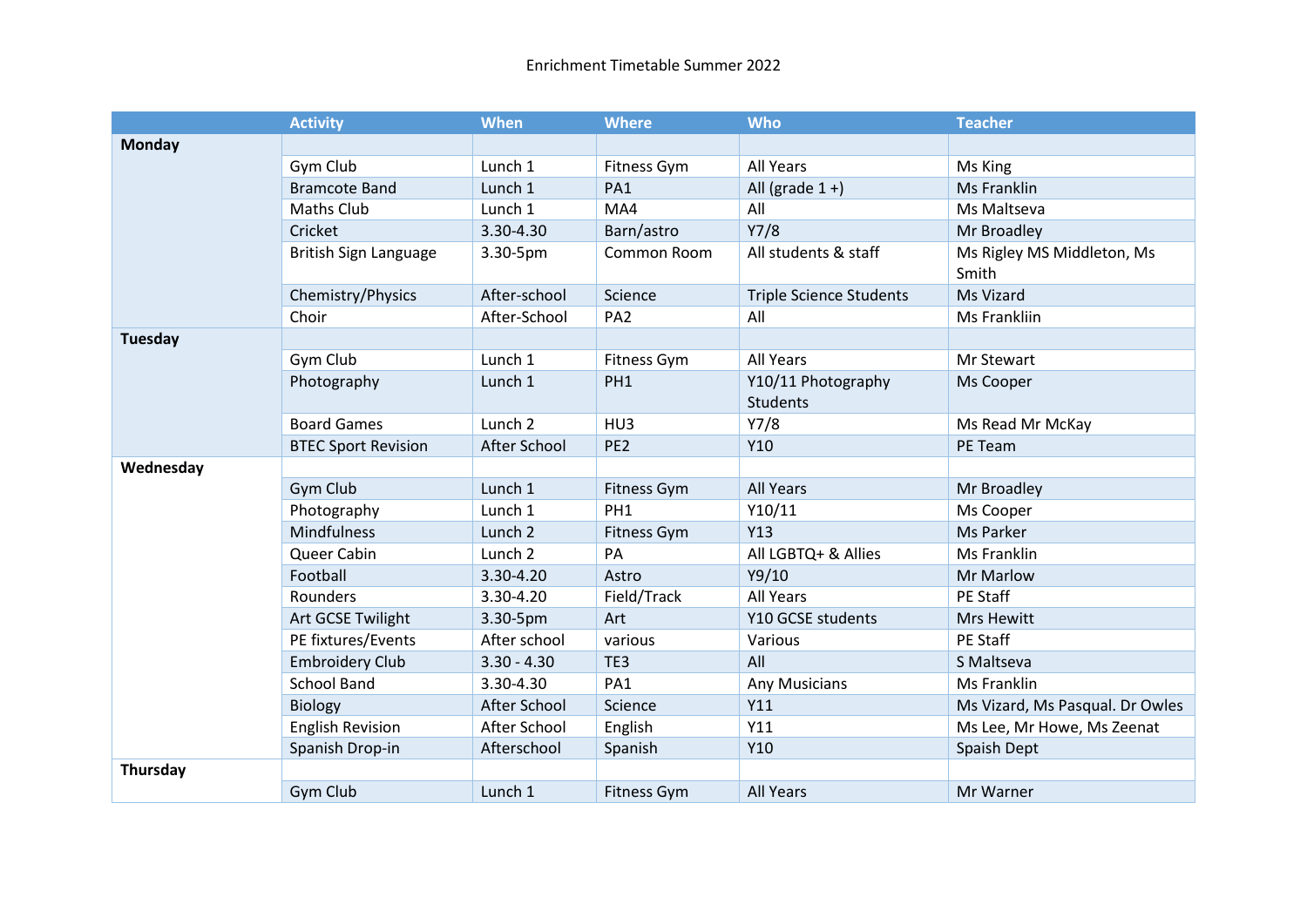|                | <b>Activity</b>            | <b>When</b>        | <b>Where</b>       | <b>Who</b>                            | <b>Teacher</b>                      |
|----------------|----------------------------|--------------------|--------------------|---------------------------------------|-------------------------------------|
| <b>Monday</b>  |                            |                    |                    |                                       |                                     |
|                | Gym Club                   | Lunch 1            | Fitness Gym        | All Years                             | Ms King                             |
|                | <b>Bramcote Band</b>       | Lunch 1            | PA1                | All (grade $1 +$ )                    | Ms Franklin                         |
|                | <b>Maths Club</b>          | Lunch 1            | MA4                | All                                   | Ms Maltseva                         |
|                | Cricket                    | 3.30-4.30          | Barn/astro         | Y7/8                                  | Mr Broadley                         |
|                | British Sign Language      | 3.30-5pm           | Common Room        | All students & staff                  | Ms Rigley MS Middleton, Ms<br>Smith |
|                | Chemistry/Physics          | After-school       | Science            | <b>Triple Science Students</b>        | Ms Vizard                           |
|                | Choir                      | After-School       | PA <sub>2</sub>    | All                                   | Ms Frankliin                        |
| <b>Tuesday</b> |                            |                    |                    |                                       |                                     |
|                | Gym Club                   | Lunch 1            | Fitness Gym        | All Years                             | Mr Stewart                          |
|                | Photography                | Lunch 1            | PH <sub>1</sub>    | Y10/11 Photography<br><b>Students</b> | Ms Cooper                           |
|                | <b>Board Games</b>         | Lunch <sub>2</sub> | HU3                | Y7/8                                  | Ms Read Mr McKay                    |
|                | <b>BTEC Sport Revision</b> | After School       | PE <sub>2</sub>    | Y10                                   | PE Team                             |
| Wednesday      |                            |                    |                    |                                       |                                     |
|                | Gym Club                   | Lunch 1            | <b>Fitness Gym</b> | <b>All Years</b>                      | Mr Broadley                         |
|                | Photography                | Lunch 1            | PH <sub>1</sub>    | Y10/11                                | Ms Cooper                           |
|                | <b>Mindfulness</b>         | Lunch <sub>2</sub> | Fitness Gym        | Y13                                   | Ms Parker                           |
|                | Queer Cabin                | Lunch <sub>2</sub> | PA                 | All LGBTQ+ & Allies                   | Ms Franklin                         |
|                | Football                   | 3.30-4.20          | Astro              | Y9/10                                 | Mr Marlow                           |
|                | Rounders                   | 3.30-4.20          | Field/Track        | All Years                             | PE Staff                            |
|                | Art GCSE Twilight          | 3.30-5pm           | Art                | Y10 GCSE students                     | <b>Mrs Hewitt</b>                   |
|                | PE fixtures/Events         | After school       | various            | Various                               | PE Staff                            |
|                | <b>Embroidery Club</b>     | $3.30 - 4.30$      | TE3                | All                                   | S Maltseva                          |
|                | <b>School Band</b>         | 3.30-4.30          | PA1                | Any Musicians                         | Ms Franklin                         |
|                | <b>Biology</b>             | After School       | Science            | Y11                                   | Ms Vizard, Ms Pasqual. Dr Owles     |
|                | <b>English Revision</b>    | After School       | English            | Y11                                   | Ms Lee, Mr Howe, Ms Zeenat          |
|                | Spanish Drop-in            | Afterschool        | Spanish            | Y10                                   | Spaish Dept                         |
| Thursday       |                            |                    |                    |                                       |                                     |
|                | Gym Club                   | Lunch 1            | <b>Fitness Gym</b> | <b>All Years</b>                      | Mr Warner                           |